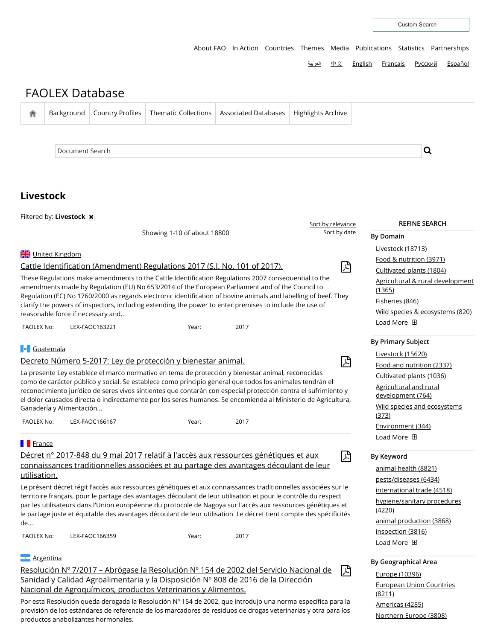[About](http://www.fao.org/about/en/) FAO In [Action](http://www.fao.org/in-action/en/) [Countries](http://www.fao.org/countryprofiles/en/) [Themes](http://www.fao.org/themes/en/) [Media](http://www.fao.org/news/en/) [Publications](http://www.fao.org/publications/en/) [Statistics](http://www.fao.org/statistics/en/) [Partnerships](http://www.fao.org/partnerships/en/)

[العربیة](http://www.fao.org/faolex/collections/ar/?search=adv&subj_coll=Livestock) [中文](http://www.fao.org/faolex/collections/zh/?search=adv&subj_coll=Livestock) [English](http://www.fao.org/faolex/collections/en/?search=adv&subj_coll=Livestock) [Français](http://www.fao.org/faolex/collections/fr/?search=adv&subj_coll=Livestock) [Русский](http://www.fao.org/faolex/collections/ru/?search=adv&subj_coll=Livestock) [Español](http://www.fao.org/faolex/collections/es/?search=adv&subj_coll=Livestock)

| 合                | Background                                                                                                                                                                                                                                                                                                                                                                                                                                                               | <b>Country Profiles</b>                                                                                                  | <b>Thematic Collections</b>                                  | <b>Associated Databases</b>                                                                                                                                                  | Highlights Archive |                                                        |
|------------------|--------------------------------------------------------------------------------------------------------------------------------------------------------------------------------------------------------------------------------------------------------------------------------------------------------------------------------------------------------------------------------------------------------------------------------------------------------------------------|--------------------------------------------------------------------------------------------------------------------------|--------------------------------------------------------------|------------------------------------------------------------------------------------------------------------------------------------------------------------------------------|--------------------|--------------------------------------------------------|
|                  |                                                                                                                                                                                                                                                                                                                                                                                                                                                                          |                                                                                                                          |                                                              |                                                                                                                                                                              |                    |                                                        |
|                  |                                                                                                                                                                                                                                                                                                                                                                                                                                                                          |                                                                                                                          |                                                              |                                                                                                                                                                              |                    |                                                        |
|                  | Document Search                                                                                                                                                                                                                                                                                                                                                                                                                                                          |                                                                                                                          |                                                              |                                                                                                                                                                              |                    | Q                                                      |
|                  |                                                                                                                                                                                                                                                                                                                                                                                                                                                                          |                                                                                                                          |                                                              |                                                                                                                                                                              |                    |                                                        |
|                  | Livestock                                                                                                                                                                                                                                                                                                                                                                                                                                                                |                                                                                                                          |                                                              |                                                                                                                                                                              |                    |                                                        |
|                  | Filtered by: <b>Livestock x</b>                                                                                                                                                                                                                                                                                                                                                                                                                                          | <b>REFINE SEARCH</b>                                                                                                     |                                                              |                                                                                                                                                                              |                    |                                                        |
|                  |                                                                                                                                                                                                                                                                                                                                                                                                                                                                          | Sort by date                                                                                                             | <b>By Domain</b>                                             |                                                                                                                                                                              |                    |                                                        |
|                  | United Kingdom                                                                                                                                                                                                                                                                                                                                                                                                                                                           |                                                                                                                          |                                                              |                                                                                                                                                                              |                    | Livestock (18713)                                      |
|                  | Cattle Identification (Amendment) Regulations 2017 (S.I. No. 101 of 2017).                                                                                                                                                                                                                                                                                                                                                                                               | Food & nutrition (3971)<br>Cultivated plants (1804)                                                                      |                                                              |                                                                                                                                                                              |                    |                                                        |
|                  | These Regulations make amendments to the Cattle Identification Regulations 2007 consequential to the<br>amendments made by Regulation (EU) No 653/2014 of the European Parliament and of the Council to<br>Regulation (EC) No 1760/2000 as regards electronic identification of bovine animals and labelling of beef. They                                                                                                                                               | Agricultural & rural development<br>(1365)                                                                               |                                                              |                                                                                                                                                                              |                    |                                                        |
|                  | clarify the powers of inspectors, including extending the power to enter premises to include the use of                                                                                                                                                                                                                                                                                                                                                                  | Fisheries (846)                                                                                                          |                                                              |                                                                                                                                                                              |                    |                                                        |
|                  | reasonable force if necessary and                                                                                                                                                                                                                                                                                                                                                                                                                                        |                                                                                                                          |                                                              |                                                                                                                                                                              |                    | Wild species & ecosystems (820)<br>Load More <b>ED</b> |
| FAOLEX No:       |                                                                                                                                                                                                                                                                                                                                                                                                                                                                          | LEX-FAOC163221                                                                                                           | Year:                                                        | 2017                                                                                                                                                                         |                    |                                                        |
|                  | <b>B</b> Guatemala                                                                                                                                                                                                                                                                                                                                                                                                                                                       |                                                                                                                          |                                                              |                                                                                                                                                                              |                    | <b>By Primary Subject</b>                              |
|                  |                                                                                                                                                                                                                                                                                                                                                                                                                                                                          |                                                                                                                          | Decreto Número 5-2017: Ley de protección y bienestar animal. |                                                                                                                                                                              | 闪                  | <b>Livestock (15620)</b>                               |
|                  |                                                                                                                                                                                                                                                                                                                                                                                                                                                                          |                                                                                                                          |                                                              | La presente Ley establece el marco normativo en tema de protección y bienestar animal, reconocidas                                                                           |                    | Food and nutrition (2337)<br>Cultivated plants (1036)  |
|                  | como de carácter público y social. Se establece como principio general que todos los animales tendrán el<br>reconocimiento jurídico de seres vivos sintientes que contarán con especial protección contra el sufrimiento y<br>el dolor causados directa o indirectamente por los seres humanos. Se encomienda al Ministerio de Agricultura,<br>Ganadería y Alimentación                                                                                                  | <b>Agricultural and rural</b><br>development (764)<br>Wild species and ecosystems                                        |                                                              |                                                                                                                                                                              |                    |                                                        |
| FAOLEX No:       |                                                                                                                                                                                                                                                                                                                                                                                                                                                                          | LEX-FAOC166167                                                                                                           | Year:                                                        | 2017                                                                                                                                                                         |                    | (373)                                                  |
|                  |                                                                                                                                                                                                                                                                                                                                                                                                                                                                          |                                                                                                                          |                                                              |                                                                                                                                                                              |                    | Environment (344)<br>Load More 田                       |
| <b>France</b>    |                                                                                                                                                                                                                                                                                                                                                                                                                                                                          |                                                                                                                          |                                                              |                                                                                                                                                                              |                    |                                                        |
| utilisation.     |                                                                                                                                                                                                                                                                                                                                                                                                                                                                          |                                                                                                                          |                                                              | Décret n° 2017-848 du 9 mai 2017 relatif à l'accès aux ressources génétiques et aux<br>connaissances traditionnelles associées et au partage des avantages découlant de leur | 兦                  | By Keyword<br>animal health (8821)                     |
| de…              | Le présent décret régit l'accès aux ressources génétiques et aux connaissances traditionnelles associées sur le<br>territoire français, pour le partage des avantages découlant de leur utilisation et pour le contrôle du respect<br>par les utilisateurs dans l'Union européenne du protocole de Nagoya sur l'accès aux ressources génétiques et<br>le partage juste et équitable des avantages découlant de leur utilisation. Le décret tient compte des spécificités | pests/diseases (6434)<br>international trade (4518)<br>hygiene/sanitary procedures<br>(4220)<br>animal production (3868) |                                                              |                                                                                                                                                                              |                    |                                                        |
| FAOLEX No:       |                                                                                                                                                                                                                                                                                                                                                                                                                                                                          | LEX-FAOC166359                                                                                                           | Year:                                                        | 2017                                                                                                                                                                         |                    | inspection (3816)<br>Load More <b>ED</b>               |
|                  |                                                                                                                                                                                                                                                                                                                                                                                                                                                                          |                                                                                                                          |                                                              |                                                                                                                                                                              |                    |                                                        |
| <b>Argentina</b> | Resolución Nº 7/2017 - Abrógase la Resolución Nº 154 de 2002 del Servicio Nacional de                                                                                                                                                                                                                                                                                                                                                                                    | <b>By Geographical Area</b>                                                                                              |                                                              |                                                                                                                                                                              |                    |                                                        |
|                  | Sanidad y Calidad Agroalimentaria y la Disposición Nº 808 de 2016 de la Dirección                                                                                                                                                                                                                                                                                                                                                                                        | Europe (10396)                                                                                                           |                                                              |                                                                                                                                                                              |                    |                                                        |
|                  | Nacional de Agroquímicos, productos Veterinarios y Alimentos.                                                                                                                                                                                                                                                                                                                                                                                                            | <b>European Union Countries</b><br><u>(8211)</u>                                                                         |                                                              |                                                                                                                                                                              |                    |                                                        |
|                  | Por esta Resolución queda derogada la Resolución Nº 154 de 2002, que introdujo una norma específica para la                                                                                                                                                                                                                                                                                                                                                              | Americas (4285)                                                                                                          |                                                              |                                                                                                                                                                              |                    |                                                        |

provisión de los estándares de referencia de los marcadores de residuos de drogas veterinarias y otra para los

productos anabolizantes hormonales.

[Northern](javascript:void(0);) Europe (3808)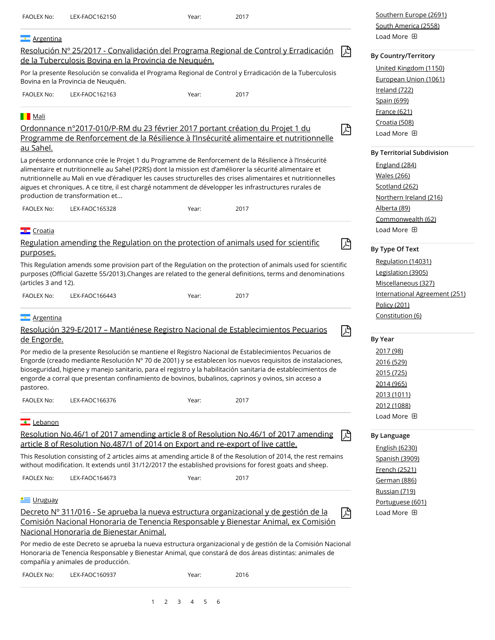| FAOLEX No:           | LEX-FAOC162150                                                                   | Year: | 2017                                                                                                                                                                                                                        | Southern Europe (2691)                      |
|----------------------|----------------------------------------------------------------------------------|-------|-----------------------------------------------------------------------------------------------------------------------------------------------------------------------------------------------------------------------------|---------------------------------------------|
|                      |                                                                                  |       |                                                                                                                                                                                                                             | South America (2558)<br>Load More <b>ED</b> |
| <b>Argentina</b>     |                                                                                  |       |                                                                                                                                                                                                                             |                                             |
|                      | de la Tuberculosis Bovina en la Provincia de Neuguén.                            |       | Resolución Nº 25/2017 - Convalidación del Programa Regional de Control y Erradicación<br>凶                                                                                                                                  | <b>By Country/Territory</b>                 |
|                      |                                                                                  |       |                                                                                                                                                                                                                             | United Kingdom (1150)                       |
|                      | Bovina en la Provincia de Neuquén.                                               |       | Por la presente Resolución se convalida el Programa Regional de Control y Erradicación de la Tuberculosis                                                                                                                   | European Union (1061)                       |
| FAOLEX No:           | LEX-FAOC162163                                                                   | Year: | 2017                                                                                                                                                                                                                        | Ireland (722)                               |
|                      |                                                                                  |       |                                                                                                                                                                                                                             | Spain (699)                                 |
| <b>Nali</b>          |                                                                                  |       |                                                                                                                                                                                                                             | <b>France (621)</b>                         |
|                      | Ordonnance n°2017-010/P-RM du 23 février 2017 portant création du Projet 1 du    |       | 兦                                                                                                                                                                                                                           | Croatia (508)<br>Load More <b>ED</b>        |
| au Sahel.            |                                                                                  |       | Programme de Renforcement de la Résilience à l'Insécurité alimentaire et nutritionnelle                                                                                                                                     |                                             |
|                      |                                                                                  |       | La présente ordonnance crée le Projet 1 du Programme de Renforcement de la Résilience à l'Insécurité                                                                                                                        | <b>By Territorial Subdivision</b>           |
|                      |                                                                                  |       | alimentaire et nutritionnelle au Sahel (P2RS) dont la mission est d'améliorer la sécurité alimentaire et                                                                                                                    | England (284)                               |
|                      |                                                                                  |       | nutritionnelle au Mali en vue d'éradiquer les causes structurelles des crises alimentaires et nutritionnelles                                                                                                               | <b>Wales</b> (266)                          |
|                      | production de transformation et                                                  |       | aigues et chroniques. A ce titre, il est chargé notamment de développer les infrastructures rurales de                                                                                                                      | Scotland (262)<br>Northern Ireland (216)    |
| <b>FAOLEX No:</b>    | LEX-FAOC165328                                                                   | Year: | 2017                                                                                                                                                                                                                        | Alberta (89)                                |
|                      |                                                                                  |       |                                                                                                                                                                                                                             | Commonwealth (62)                           |
| <b>E</b> Croatia     |                                                                                  |       |                                                                                                                                                                                                                             | Load More <b>ED</b>                         |
|                      |                                                                                  |       | 囚<br>Regulation amending the Regulation on the protection of animals used for scientific                                                                                                                                    |                                             |
| purposes.            |                                                                                  |       |                                                                                                                                                                                                                             | By Type Of Text                             |
|                      |                                                                                  |       | This Regulation amends some provision part of the Regulation on the protection of animals used for scientific                                                                                                               | Regulation (14031)                          |
|                      |                                                                                  |       | purposes (Official Gazette 55/2013). Changes are related to the general definitions, terms and denominations                                                                                                                | Legislation (3905)                          |
| (articles 3 and 12). |                                                                                  |       |                                                                                                                                                                                                                             | Miscellaneous (327)                         |
| FAOLEX No:           | LEX-FAOC166443                                                                   | Year: | 2017                                                                                                                                                                                                                        | International Agreement (251)               |
|                      |                                                                                  |       |                                                                                                                                                                                                                             | Policy (201)                                |
| <b>Argentina</b>     |                                                                                  |       |                                                                                                                                                                                                                             | <u>Constitution (6)</u>                     |
|                      |                                                                                  |       | Resolución 329-E/2017 - Mantiénese Registro Nacional de Establecimientos Pecuarios<br>囚                                                                                                                                     | <b>By Year</b>                              |
| de Engorde.          |                                                                                  |       |                                                                                                                                                                                                                             |                                             |
|                      |                                                                                  |       | Por medio de la presente Resolución se mantiene el Registro Nacional de Establecimientos Pecuarios de<br>Engorde (creado mediante Resolución Nº 70 de 2001) y se establecen los nuevos requisitos de instalaciones,         | <u>2017 (98)</u><br><u>2016 (529)</u>       |
|                      |                                                                                  |       | bioseguridad, higiene y manejo sanitario, para el registro y la habilitación sanitaria de establecimientos de                                                                                                               | 2015 (725)                                  |
|                      |                                                                                  |       | engorde a corral que presentan confinamiento de bovinos, bubalinos, caprinos y ovinos, sin acceso a                                                                                                                         | 2014 (965)                                  |
| pastoreo.            |                                                                                  |       |                                                                                                                                                                                                                             | 2013 (1011)                                 |
| FAOLEX No:           | LEX-FAOC166376                                                                   | Year: | 2017                                                                                                                                                                                                                        | 2012 (1088)                                 |
| Lebanon              |                                                                                  |       |                                                                                                                                                                                                                             | Load More <b>ED</b>                         |
|                      |                                                                                  |       | Resolution No.46/1 of 2017 amending article 8 of Resolution No.46/1 of 2017 amending<br>闪                                                                                                                                   | <b>By Language</b>                          |
|                      | article 8 of Resolution No.487/1 of 2014 on Export and re-export of live cattle. |       |                                                                                                                                                                                                                             | English (6230)                              |
|                      |                                                                                  |       | This Resolution consisting of 2 articles aims at amending article 8 of the Resolution of 2014, the rest remains<br>without modification. It extends until 31/12/2017 the established provisions for forest goats and sheep. | Spanish (3909)                              |
| FAOLEX No:           |                                                                                  |       | 2017                                                                                                                                                                                                                        | French (2521)                               |
|                      | LEX-FAOC164673                                                                   | Year: |                                                                                                                                                                                                                             | German (886)<br>Russian (719)               |
| <u>ie Uruguay</u>    |                                                                                  |       |                                                                                                                                                                                                                             | Portuguese (601)                            |
|                      |                                                                                  |       | Decreto Nº 311/016 - Se aprueba la nueva estructura organizacional y de gestión de la<br>凶<br>Comisión Nacional Honoraria de Tenencia Responsable y Bienestar Animal, ex Comisión                                           | Load More <b>ED</b>                         |
|                      | Nacional Honoraria de Bienestar Animal.                                          |       |                                                                                                                                                                                                                             |                                             |
|                      |                                                                                  |       | Por medio de este Decreto se aprueba la nueva estructura organizacional y de gestión de la Comisión Nacional                                                                                                                |                                             |
|                      | compañía y animales de producción.                                               |       | Honoraria de Tenencia Responsable y Bienestar Animal, que constará de dos áreas distintas: animales de                                                                                                                      |                                             |
| FAOLEX No:           | LEX-FAOC160937                                                                   | Year: | 2016                                                                                                                                                                                                                        |                                             |
|                      |                                                                                  |       |                                                                                                                                                                                                                             |                                             |

[1](javascript:void(0);) [2](javascript:void(0);) [3](javascript:void(0);) [4](javascript:void(0);) [5](javascript:void(0);) [6](javascript:void(0);)